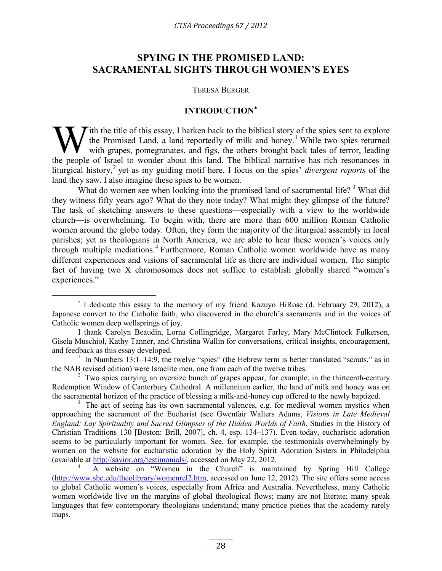# **SPYING IN THE PROMISED LAND: SACRAMENTAL SIGHTS THROUGH WOMEN'S EYES**

#### TERESA BERGER

# **INTRODUCTION**[∗](#page--1-0)

 $\overline{f}$  ith the title of this essay, I harken back to the biblical story of the spies sent to explore the Promised Land, a land reportedly of milk and honey.<sup>[1](#page-0-0)</sup> While two spies returned with grapes, pomegranates, and figs, the others brought back tales of terror, leading W the title of this essay, I harken back to the biblical story of the spies sent to explore the Promised Land, a land reportedly of milk and honey.<sup>1</sup> While two spies returned with grapes, pomegranates, and figs, the other liturgical history,<sup>[2](#page-0-1)</sup> yet as my guiding motif here, I focus on the spies' *divergent reports* of the land they saw. I also imagine these spies to be women.

What do women see when looking into the promised land of sacramental life?<sup>[3](#page-0-2)</sup> What did they witness fifty years ago? What do they note today? What might they glimpse of the future? The task of sketching answers to these questions—especially with a view to the worldwide church—is overwhelming. To begin with, there are more than 600 million Roman Catholic women around the globe today. Often, they form the majority of the liturgical assembly in local parishes; yet as theologians in North America, we are able to hear these women's voices only through multiple mediations.<sup>[4](#page-0-3)</sup> Furthermore, Roman Catholic women worldwide have as many different experiences and visions of sacramental life as there are individual women. The simple fact of having two X chromosomes does not suffice to establish globally shared "women's experiences."

<sup>∗</sup> I dedicate this essay to the memory of my friend Kazuyo HiRose (d. February 29, 2012), a Japanese convert to the Catholic faith, who discovered in the church's sacraments and in the voices of Catholic women deep wellsprings of joy.

I thank Carolyn Beaudin, Lorna Collingridge, Margaret Farley, Mary McClintock Fulkerson, Gisela Muschiol, Kathy Tanner, and Christina Wallin for conversations, critical insights, encouragement, and feedback as this essay developed.

<span id="page-0-0"></span><sup>&</sup>lt;sup>1</sup> In Numbers 13:1–14:9, the twelve "spies" (the Hebrew term is better translated "scouts," as in the NAB revised edition) were Israelite men, one from each of the twelve tribes.

<span id="page-0-1"></span> $2^2$  Two spies carrying an oversize bunch of grapes appear, for example, in the thirteenth-century Redemption Window of Canterbury Cathedral. A millennium earlier, the land of milk and honey was on the sacramental horizon of the practice of blessing a milk-and-honey cup offered to the newly baptized.

<span id="page-0-2"></span><sup>&</sup>lt;sup>3</sup> The act of seeing has its own sacramental valences, e.g. for medieval women mystics when approaching the sacrament of the Eucharist (see Gwenfair Walters Adams, *Visions in Late Medieval England: Lay Spirituality and Sacred Glimpses of the Hidden Worlds of Faith*, Studies in the History of Christian Traditions 130 [Boston: Brill, 2007], ch. 4, esp. 134–137). Even today, eucharistic adoration seems to be particularly important for women. See, for example, the testimonials overwhelmingly by women on the website for eucharistic adoration by the [Holy Spirit Adoration Sisters](http://www.adorationsisters.org/) in Philadelphia (available at [http://savior.org/testimonials/,](http://savior.org/testimonials/) accessed on May 22, 2012.

<span id="page-0-3"></span><sup>4</sup> A website on "Women in the Church" is maintained by Spring Hill College [\(http://www.shc.edu/theolibrary/womenrel2.htm,](http://www.shc.edu/theolibrary/womenrel2.htm) accessed on June 12, 2012). The site offers some access to global Catholic women's voices, especially from Africa and Australia. Nevertheless, many Catholic women worldwide live on the margins of global theological flows; many are not literate; many speak languages that few contemporary theologians understand; many practice pieties that the academy rarely maps.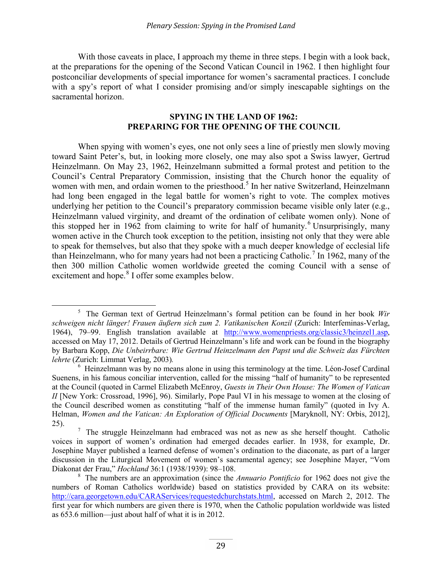With those caveats in place. I approach my theme in three steps. I begin with a look back, at the preparations for the opening of the Second Vatican Council in 1962. I then highlight four postconciliar developments of special importance for women's sacramental practices. I conclude with a spy's report of what I consider promising and/or simply inescapable sightings on the sacramental horizon.

### **SPYING IN THE LAND OF 1962: PREPARING FOR THE OPENING OF THE COUNCIL**

When spying with women's eyes, one not only sees a line of priestly men slowly moving toward Saint Peter's, but, in looking more closely, one may also spot a Swiss lawyer, Gertrud Heinzelmann. On May 23, 1962, Heinzelmann submitted a formal protest and petition to the Council's Central Preparatory Commission, insisting that the Church honor the equality of women with men, and ordain women to the priesthood.<sup>[5](#page--1-1)</sup> In her native Switzerland, Heinzelmann had long been engaged in the legal battle for women's right to vote. The complex motives underlying her petition to the Council's preparatory commission became visible only later (e.g., Heinzelmann valued virginity, and dreamt of the ordination of celibate women only). None of this stopped her in 19[6](#page-1-0)2 from claiming to write for half of humanity.<sup>6</sup> Unsurprisingly, many women active in the Church took exception to the petition, insisting not only that they were able to speak for themselves, but also that they spoke with a much deeper knowledge of ecclesial life than Heinzelmann, who for many years had not been a practicing Catholic.<sup>[7](#page-1-1)</sup> In 1962, many of the then 300 million Catholic women worldwide greeted the coming Council with a sense of excitement and hope.<sup>[8](#page-1-2)</sup> I offer some examples below.

 $\overline{\phantom{0}}$ <sup>5</sup> The German text of Gertrud Heinzelmann's formal petition can be found in her book *Wir schweigen nicht länger! Frauen äußern sich zum 2. Vatikanischen Konzil* (Zurich: Interfeminas-Verlag, 1964), 79–99. English translation available at [http://www.womenpriests.org/classic3/heinzel1.asp,](http://www.womenpriests.org/classic3/heinzel1.asp)  accessed on May 17, 2012. Details of Gertrud Heinzelmann's life and work can be found in the biography by Barbara Kopp, *Die Unbeirrbare: Wie Gertrud Heinzelmann den Papst und die Schweiz das Fürchten lehrte* (Zurich: Limmat Verlag, 2003)*.* <sup>6</sup>

<span id="page-1-0"></span> $6$  Heinzelmann was by no means alone in using this terminology at the time. Léon-Josef Cardinal Suenens, in his famous conciliar intervention, called for the missing "half of humanity" to be represented at the Council (quoted in Carmel Elizabeth McEnroy, *Guests in Their Own House: The Women of Vatican II* [New York: Crossroad, 1996], 96). Similarly, Pope Paul VI in his message to women at the closing of the Council described women as constituting "half of the immense human family" (quoted in Ivy A. Helman, *Women and the Vatican: An Exploration of Official Documents* [Maryknoll, NY: Orbis, 2012], 25).

<span id="page-1-1"></span><sup>7</sup> The struggle Heinzelmann had embraced was not as new as she herself thought. Catholic voices in support of women's ordination had emerged decades earlier. In 1938, for example, Dr. Josephine Mayer published a learned defense of women's ordination to the diaconate, as part of a larger discussion in the Liturgical Movement of women's sacramental agency; see Josephine Mayer, "Vom Diakonat der Frau," *Hochland* 36:1 (1938/1939): 98–108.

<span id="page-1-2"></span><sup>&</sup>lt;sup>8</sup> The numbers are an approximation (since the *Annuario Pontificio* for 1962 does not give the numbers of Roman Catholics worldwide) based on statistics provided by CARA on its website: [http://cara.georgetown.edu/CARAServices/requestedchurchstats.html,](http://cara.georgetown.edu/CARAServices/requestedchurchstats.html) accessed on March 2, 2012. The first year for which numbers are given there is 1970, when the Catholic population worldwide was listed as 653.6 million—just about half of what it is in 2012.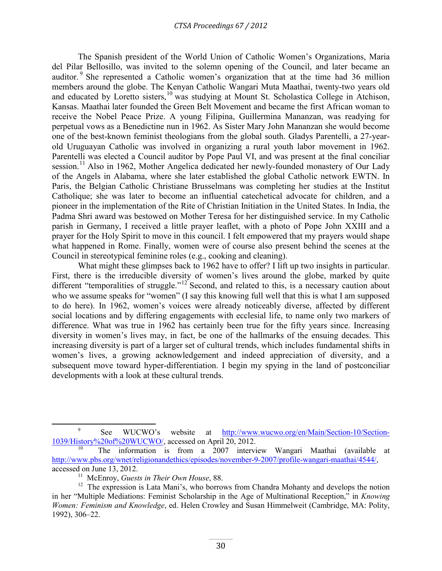#### *CTSA Proceedings 67 / 2012*

The Spanish president of the World Union of Catholic Women's Organizations, Maria del Pilar Bellosillo, was invited to the solemn opening of the Council, and later became an auditor.<sup>[9](#page--1-2)</sup> She represented a Catholic women's organization that at the time had 36 million members around the globe. The Kenyan Catholic Wangari Muta Maathai, twenty-two years old and educated by Loretto sisters,<sup>[10](#page-2-0)</sup> was studying at Mount St. Scholastica College in Atchison, Kansas. Maathai later founded the Green Belt Movement and became the first African woman to receive the Nobel Peace Prize. A young Filipina, Guillermina Mananzan, was readying for perpetual vows as a Benedictine nun in 1962. As Sister Mary John Mananzan she would become one of the best-known feminist theologians from the global south. Gladys Parentelli, a 27-yearold Uruguayan Catholic was involved in organizing a rural youth labor movement in 1962. Parentelli was elected a Council auditor by Pope Paul VI, and was present at the final conciliar session.<sup>[11](#page-2-1)</sup> Also in 1962, Mother Angelica dedicated her newly-founded monastery of Our Lady of the Angels in Alabama, where she later established the global Catholic network EWTN. In Paris, the Belgian Catholic Christiane Brusselmans was completing her studies at the Institut Catholique; she was later to become an influential catechetical advocate for children, and a pioneer in the implementation of the Rite of Christian Initiation in the United States. In India, the Padma Shri award was bestowed on Mother Teresa for her distinguished service. In my Catholic parish in Germany, I received a little prayer leaflet, with a photo of Pope John XXIII and a prayer for the Holy Spirit to move in this council. I felt empowered that my prayers would shape what happened in Rome. Finally, women were of course also present behind the scenes at the Council in stereotypical feminine roles (e.g., cooking and cleaning).

What might these glimpses back to 1962 have to offer? I lift up two insights in particular. First, there is the irreducible diversity of women's lives around the globe, marked by quite different "temporalities of struggle."<sup>[12](#page-2-2)</sup> Second, and related to this, is a necessary caution about who we assume speaks for "women" (I say this knowing full well that this is what I am supposed to do here). In 1962, women's voices were already noticeably diverse, affected by different social locations and by differing engagements with ecclesial life, to name only two markers of difference. What was true in 1962 has certainly been true for the fifty years since. Increasing diversity in women's lives may, in fact, be one of the hallmarks of the ensuing decades. This increasing diversity is part of a larger set of cultural trends, which includes fundamental shifts in women's lives, a growing acknowledgement and indeed appreciation of diversity, and a subsequent move toward hyper-differentiation. I begin my spying in the land of postconciliar developments with a look at these cultural trends.

9 See WUCWO's website at [http://www.wucwo.org/en/Main/Section-10/Section-](http://www.wucwo.org/en/Main/Section-10/Section-1039/History%20of%20WUCWO/)[1039/History%20of%20WUCWO/,](http://www.wucwo.org/en/Main/Section-10/Section-1039/History%20of%20WUCWO/) accessed on April 20, 2012.

<span id="page-2-0"></span><sup>10</sup> The information is from a 2007 interview Wangari Maathai (available at [http://www.pbs.org/wnet/religionandethics/episodes/november-9-2007/profile-wangari-maathai/4544/,](http://www.pbs.org/wnet/religionandethics/episodes/november-9-2007/profile-wangari-maathai/4544/) accessed on June 13, 2012.

<sup>11</sup> McEnroy, *Guests in Their Own House*, 88.

<span id="page-2-2"></span><span id="page-2-1"></span><sup>&</sup>lt;sup>12</sup> The expression is Lata Mani's, who borrows from Chandra Mohanty and develops the notion in her "Multiple Mediations: Feminist Scholarship in the Age of Multinational Reception," in *Knowing Women: Feminism and Knowledge*, ed. Helen Crowley and Susan Himmelweit (Cambridge, MA: Polity, 1992), 306–22.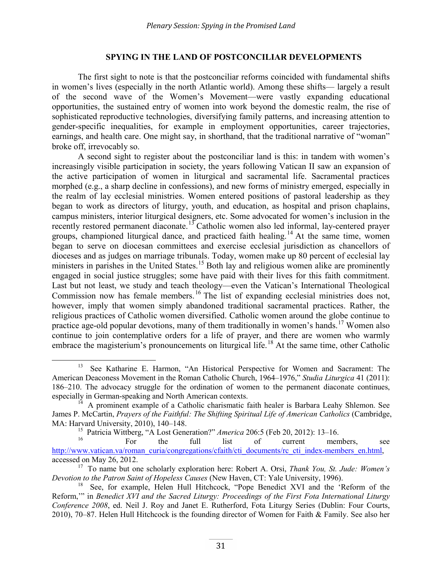#### **SPYING IN THE LAND OF POSTCONCILIAR DEVELOPMENTS**

The first sight to note is that the postconciliar reforms coincided with fundamental shifts in women's lives (especially in the north Atlantic world). Among these shifts— largely a result of the second wave of the Women's Movement—were vastly expanding educational opportunities, the sustained entry of women into work beyond the domestic realm, the rise of sophisticated reproductive technologies, diversifying family patterns, and increasing attention to gender-specific inequalities, for example in employment opportunities, career trajectories, earnings, and health care. One might say, in shorthand, that the traditional narrative of "woman" broke off, irrevocably so.

A second sight to register about the postconciliar land is this: in tandem with women's increasingly visible participation in society, the years following Vatican II saw an expansion of the active participation of women in liturgical and sacramental life. Sacramental practices morphed (e.g., a sharp decline in confessions), and new forms of ministry emerged, especially in the realm of lay ecclesial ministries. Women entered positions of pastoral leadership as they began to work as directors of liturgy, youth, and education, as hospital and prison chaplains, campus ministers, interior liturgical designers, etc. Some advocated for women's inclusion in the recently restored permanent diaconate.<sup>[13](#page--1-3)</sup> Catholic women also led informal, lay-centered prayer groups, championed liturgical dance, and practiced faith healing.<sup>[14](#page-3-0)</sup> At the same time, women began to serve on diocesan committees and exercise ecclesial jurisdiction as chancellors of dioceses and as judges on marriage tribunals. Today, women make up 80 percent of ecclesial lay ministers in parishes in the United States.<sup>[15](#page-3-1)</sup> Both lay and religious women alike are prominently engaged in social justice struggles; some have paid with their lives for this faith commitment. Last but not least, we study and teach theology—even the Vatican's International Theological Commission now has female members.<sup>[16](#page-3-2)</sup> The list of expanding ecclesial ministries does not, however, imply that women simply abandoned traditional sacramental practices. Rather, the religious practices of Catholic women diversified. Catholic women around the globe continue to practice age-old popular devotions, many of them traditionally in women's hands.<sup>[17](#page-3-3)</sup> Women also continue to join contemplative orders for a life of prayer, and there are women who warmly embrace the magisterium's pronouncements on liturgical life.<sup>[18](#page-3-4)</sup> At the same time, other Catholic

13 See Katharine E. Harmon, "An Historical Perspective for Women and Sacrament: The American Deaconess Movement in the Roman Catholic Church, 1964–1976," *Studia Liturgica* 41 (2011): 186–210. The advocacy struggle for the ordination of women to the permanent diaconate continues, especially in German-speaking and North American contexts.

<span id="page-3-0"></span> $14$  A prominent example of a Catholic charismatic faith healer is Barbara Leahy Shlemon. See James P. McCartin, *Prayers of the Faithful: The Shifting Spiritual Life of American Catholics* (Cambridge, MA: Harvard University, 2010), 140–148.

<sup>15</sup> Patricia Wittberg, "A Lost Generation?" *America* 206:5 (Feb 20, 2012): 13–16.

<span id="page-3-2"></span><span id="page-3-1"></span><sup>&</sup>lt;sup>16</sup> For the full list of current members, see [http://www.vatican.va/roman\\_curia/congregations/cfaith/cti\\_documents/rc\\_cti\\_index-members\\_en.html,](http://www.vatican.va/roman_curia/congregations/cfaith/cti_documents/rc_cti_index-members_en.html) accessed on May 26, 2012.

<span id="page-3-3"></span><sup>17</sup> To name but one scholarly exploration here: Robert A. Orsi, *Thank You, St. Jude: Women's Devotion to the Patron Saint of Hopeless Causes* (New Haven, CT: Yale University, 1996).

<span id="page-3-4"></span><sup>&</sup>lt;sup>18</sup> See, for example, Helen Hull Hitchcock, "Pope Benedict XVI and the 'Reform of the Reform,'" in *Benedict XVI and the Sacred Liturgy: Proceedings of the First Fota International Liturgy Conference 2008*, ed. Neil J. Roy and Janet E. Rutherford, Fota Liturgy Series (Dublin: Four Courts, 2010), 70–87. Helen Hull Hitchcock is the founding director of Women for Faith & Family. See also her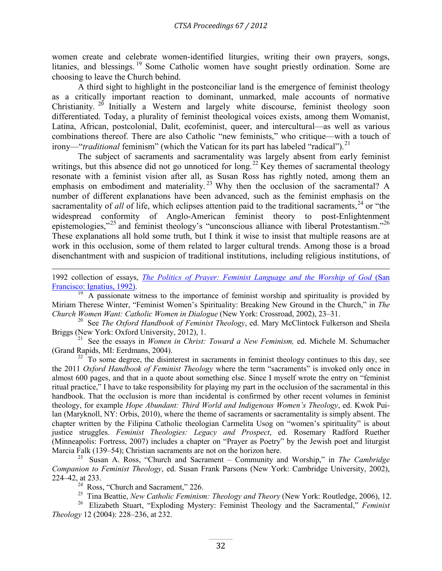women create and celebrate women-identified liturgies, writing their own prayers, songs, litanies, and blessings. [19](#page--1-4) Some Catholic women have sought priestly ordination. Some are choosing to leave the Church behind.

A third sight to highlight in the postconciliar land is the emergence of feminist theology as a critically important reaction to dominant, unmarked, male accounts of normative Christianity.  $20$  Initially a Western and largely white discourse, feminist theology soon differentiated. Today, a plurality of feminist theological voices exists, among them Womanist, Latina, African, postcolonial, Dalit, ecofeminist, queer, and intercultural—as well as various combinations thereof. There are also Catholic "new feminists," who critique—with a touch of irony—"*traditional* feminism" (which the Vatican for its part has labeled "radical").<sup>21</sup>

The subject of sacraments and sacramentality was largely absent from early feminist writings, but this absence did not go unnoticed for long.<sup>[22](#page-4-2)</sup> Key themes of sacramental theology resonate with a feminist vision after all, as Susan Ross has rightly noted, among them an emphasis on embodiment and materiality.<sup>[23](#page-4-3)</sup> Why then the occlusion of the sacramental? A number of different explanations have been advanced, such as the feminist emphasis on the sacramentality of *all* of life, which eclipses attention paid to the traditional sacraments,<sup>[24](#page-4-4)</sup> or "the widespread conformity of Anglo-American feminist theory to post-Enlightenment epistemologies,"[25](#page-4-5) and feminist theology's "unconscious alliance with liberal Protestantism."[26](#page-4-6) These explanations all hold some truth, but I think it wise to insist that multiple reasons are at work in this occlusion, some of them related to larger cultural trends. Among those is a broad disenchantment with and suspicion of traditional institutions, including religious institutions, of

i<br>I 1992 collection of essays, *[The Politics of Prayer: Feminist Language and the Worship of God](http://www.ignatius.com/ViewProduct.aspx?SID=1&Product_ID=725&SKU=POP-P&ReturnURL=search.aspx%3f%3fSID%3d1%26SearchCriteria%3dP)* (San

[Francisco: Ignatius, 1992\).](http://www.ignatius.com/ViewProduct.aspx?SID=1&Product_ID=725&SKU=POP-P&ReturnURL=search.aspx%3f%3fSID%3d1%26SearchCriteria%3dP)<br><sup>[19](http://www.ignatius.com/ViewProduct.aspx?SID=1&Product_ID=725&SKU=POP-P&ReturnURL=search.aspx%3f%3fSID%3d1%26SearchCriteria%3dP)</sup> A passionate witness to the importance of feminist worship and spirituality is provided by Miriam Therese Winter, "Feminist Women's Spirituality: Breaking New Ground in the Church," in *The Church Women Want: Catholic Women in Dialogue* (New York: Crossroad, 2002), 23–31.

<span id="page-4-0"></span><sup>20</sup> See *The Oxford Handbook of Feminist Theology*, ed. Mary McClintock Fulkerson and Sheila Briggs (New York: Oxford University, 2012), 1.

<span id="page-4-1"></span>21 See the essays in *Women in Christ: Toward a New Feminism,* ed. Michele M. Schumacher (Grand Rapids, MI: Eerdmans, 2004).

<span id="page-4-2"></span> $22<sup>22</sup>$  To some degree, the disinterest in sacraments in feminist theology continues to this day, see the 2011 *Oxford Handbook of Feminist Theology* where the term "sacraments" is invoked only once in almost 600 pages, and that in a quote about something else. Since I myself wrote the entry on "feminist ritual practice," I have to take responsibility for playing my part in the occlusion of the sacramental in this handbook. That the occlusion is more than incidental is confirmed by other recent volumes in feminist theology, for example *Hope Abundant: Third World and Indigenous Women's Theology*, ed. Kwok Puilan (Maryknoll, NY: Orbis, 2010), where the theme of sacraments or sacramentality is simply absent. The chapter written by the Filipina Catholic theologian Carmelita Usog on "women's spirituality" is about justice struggles. *Feminist Theologies: Legacy and Prospect*, ed. Rosemary Radford Ruether (Minneapolis: Fortress, 2007) includes a chapter on "Prayer as Poetry" by the Jewish poet and liturgist Marcia Falk (139–54); Christian sacraments are not on the horizon here.

<span id="page-4-3"></span>23 Susan A. Ross, "Church and Sacrament – Community and Worship," in *The Cambridge Companion to Feminist Theology*, ed. Susan Frank Parsons (New York: Cambridge University, 2002), 224–42, at 233.

<sup>24</sup> Ross, "Church and Sacrament," 226.

25 Tina Beattie, *New Catholic Feminism: Theology and Theory* (New York: Routledge, 2006), 12.

<span id="page-4-6"></span><span id="page-4-5"></span><span id="page-4-4"></span>26 Elizabeth Stuart, "Exploding Mystery: Feminist Theology and the Sacramental," *Feminist Theology* 12 (2004): 228–236, at 232.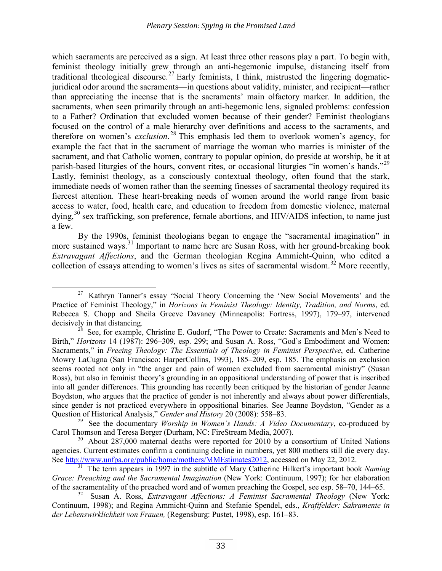which sacraments are perceived as a sign. At least three other reasons play a part. To begin with, feminist theology initially grew through an anti-hegemonic impulse, distancing itself from traditional theological discourse.<sup>[27](#page--1-4)</sup> Early feminists, I think, mistrusted the lingering dogmaticjuridical odor around the sacraments—in questions about validity, minister, and recipient—rather than appreciating the incense that is the sacraments' main olfactory marker. In addition, the sacraments, when seen primarily through an anti-hegemonic lens, signaled problems: confession to a Father? Ordination that excluded women because of their gender? Feminist theologians focused on the control of a male hierarchy over definitions and access to the sacraments, and therefore on women's *exclusion*. [28](#page-5-0) This emphasis led them to overlook women's agency, for example the fact that in the sacrament of marriage the woman who marries is minister of the sacrament, and that Catholic women, contrary to popular opinion, do preside at worship, be it at parish-based liturgies of the hours, convent rites, or occasional liturgies "in women's hands."<sup>[29](#page-5-1)</sup> Lastly, feminist theology, as a consciously contextual theology, often found that the stark, immediate needs of women rather than the seeming finesses of sacramental theology required its fiercest attention. These heart-breaking needs of women around the world range from basic access to water, food, health care, and education to freedom from domestic violence, maternal dying,<sup>[30](#page-5-2)</sup> sex trafficking, son preference, female abortions, and HIV/AIDS infection, to name just a few.

By the 1990s, feminist theologians began to engage the "sacramental imagination" in more sustained ways.<sup>[31](#page-5-3)</sup> Important to name here are Susan Ross, with her ground-breaking book *Extravagant Affections*, and the German theologian Regina Ammicht-Quinn, who edited a collection of essays attending to women's lives as sites of sacramental wisdom.<sup>[32](#page-5-4)</sup> More recently,

27 Kathryn Tanner's essay "Social Theory Concerning the 'New Social Movements' and the Practice of Feminist Theology," in *Horizons in Feminist Theology: Identity, Tradition, and Norms*, ed. Rebecca S. Chopp and Sheila Greeve Davaney (Minneapolis: Fortress, 1997), 179–97, intervened decisively in that distancing.

<span id="page-5-0"></span> $28$  See, for example, Christine E. Gudorf, "The Power to Create: Sacraments and Men's Need to Birth," *Horizons* 14 (1987): 296–309, esp. 299; and Susan A. Ross, "God's Embodiment and Women: Sacraments," in *Freeing Theology: The Essentials of Theology in Feminist Perspective*, ed. Catherine Mowry LaCugna (San Francisco: HarperCollins, 1993), 185–209, esp. 185. The emphasis on exclusion seems rooted not only in "the anger and pain of women excluded from sacramental ministry" (Susan Ross), but also in feminist theory's grounding in an oppositional understanding of power that is inscribed into all gender differences. This grounding has recently been critiqued by the historian of gender Jeanne Boydston, who argues that the practice of gender is not inherently and always about power differentials, since gender is not practiced everywhere in oppositional binaries. See Jeanne Boydston, "Gender as a Question of Historical Analysis," *Gender and History* 20 (2008): 558–83.

<span id="page-5-1"></span><sup>29</sup> See the documentary *Worship in Women's Hands: A Video Documentary*, co-produced by Carol Thomson and Teresa Berger (Durham, NC: FireStream Media, 2007).

<span id="page-5-2"></span><sup>&</sup>lt;sup>30</sup> About 287,000 maternal deaths were reported for 2010 by a consortium of United Nations agencies. Current estimates confirm a continuing decline in numbers, yet 800 mothers still die every day. See [http://www.unfpa.org/public/home/mothers/MMEstimates2012,](http://www.unfpa.org/public/home/mothers/MMEstimates2012) accessed on May 22, 2012.

<span id="page-5-3"></span><sup>&</sup>lt;sup>31</sup> The term appears in 1997 in the subtitle of Mary Catherine Hilkert's important book *Naming Grace: Preaching and the Sacramental Imagination* (New York: Continuum, 1997); for her elaboration of the sacramentality of the preached word and of women preaching the Gospel, see esp. 58–70, 144–65.

<span id="page-5-4"></span><sup>32</sup> Susan A. Ross, *Extravagant Affections: A Feminist Sacramental Theology* (New York: Continuum, 1998); and Regina Ammicht-Quinn and Stefanie Spendel, eds., *Kraftfelder: Sakramente in der Lebenswirklichkeit von Frauen,* (Regensburg: Pustet, 1998), esp. 161–83.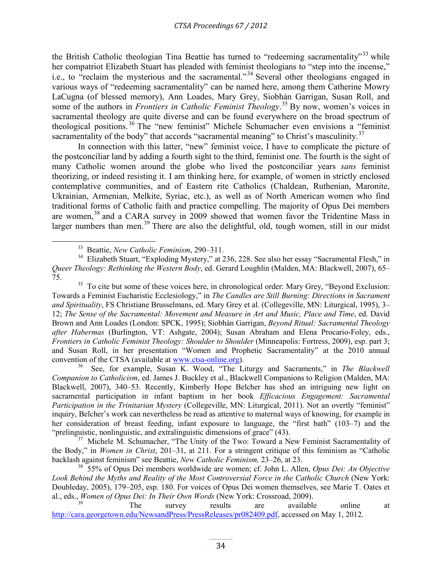#### *CTSA Proceedings 67 / 2012*

the British Catholic theologian Tina Beattie has turned to "redeeming sacramentality"<sup>[33](#page--1-5)</sup> while her compatriot Elizabeth Stuart has pleaded with feminist theologians to "step into the incense," i.e., to "reclaim the mysterious and the sacramental."[34](#page-6-0) Several other theologians engaged in various ways of "redeeming sacramentality" can be named here, among them Catherine Mowry LaCugna (of blessed memory), Ann Loades, Mary Grey, Siobhán Garrigan, Susan Roll, and some of the authors in *Frontiers in Catholic Feminist Theology*.<sup>[35](#page-6-1)</sup> By now, women's voices in sacramental theology are quite diverse and can be found everywhere on the broad spectrum of theological positions. [36](#page-6-2) The "new feminist" Michele Schumacher even envisions a "feminist sacramentality of the body" that accords "sacramental meaning" to Christ's masculinity. $37$ 

In connection with this latter, "new" feminist voice, I have to complicate the picture of the postconciliar land by adding a fourth sight to the third, feminist one. The fourth is the sight of many Catholic women around the globe who lived the postconciliar years *sans* feminist theorizing, or indeed resisting it. I am thinking here, for example, of women in strictly enclosed contemplative communities, and of Eastern rite Catholics (Chaldean, Ruthenian, Maronite, Ukrainian, Armenian, Melkite, Syriac, etc.), as well as of North American women who find traditional forms of Catholic faith and practice compelling. The majority of Opus Dei members are women,<sup>[38](#page-6-4)</sup> and a CARA survey in 2009 showed that women favor the Tridentine Mass in larger numbers than men.<sup>[39](#page-6-5)</sup> There are also the delightful, old, tough women, still in our midst

<span id="page-6-2"></span>36 See, for example, Susan K. Wood, "The Liturgy and Sacraments," in *The Blackwell Companion to Catholicism*, ed. James J. Buckley et al., Blackwell Companions to Religion (Malden, MA: Blackwell, 2007), 340–53. Recently, Kimberly Hope Belcher has shed an intriguing new light on sacramental participation in infant baptism in her book *Efficacious Engagement: Sacramental Participation in the Trinitarian Mystery* (Collegeville, MN: Liturgical, 2011). Not an overtly "feminist" inquiry, Belcher's work can nevertheless be read as attentive to maternal ways of knowing, for example in her consideration of breast feeding, infant exposure to language, the "first bath" (103–7) and the "prelinguistic, nonlinguistic, and extralinguistic dimensions of grace" (43).

<span id="page-6-3"></span><sup>37</sup> Michele M. Schumacher, "The Unity of the Two: Toward a New Feminist Sacramentality of the Body," in *Women in Christ*, 201–31, at 211. For a stringent critique of this feminism as "Catholic backlash against feminism" see Beattie, *New Catholic Feminism,* 23–26, at 23.

33 Beattie, *New Catholic Feminism*, 290–311.

<span id="page-6-0"></span><sup>&</sup>lt;sup>34</sup> Elizabeth Stuart, "Exploding Mystery," at 236, 228. See also her essay "Sacramental Flesh," in *Queer Theology: Rethinking the Western Body*, ed. Gerard Loughlin (Malden, MA: Blackwell, 2007), 65– 75.

<span id="page-6-1"></span><sup>&</sup>lt;sup>35</sup> To cite but some of these voices here, in chronological order: Mary Grey, "Beyond Exclusion: Towards a Feminist Eucharistic Ecclesiology," in *The Candles are Still Burning: Directions in Sacrament and Spirituality*, FS Christiane Brusselmans, ed. Mary Grey et al. (Collegeville, MN: Liturgical, 1995), 3– 12; *The Sense of the Sacramental: Movement and Measure in Art and Music, Place and Time*, ed. David Brown and Ann Loades (London: SPCK, 1995); Siobhán Garrigan, *Beyond Ritual: Sacramental Theology after Habermas* (Burlington, VT: Ashgate, 2004); Susan Abraham and Elena Procario-Foley, eds., *Frontiers in Catholic Feminist Theology: Shoulder to Shoulder* (Minneapolis: Fortress, 2009), esp. part 3; and Susan Roll, in her presentation "Women and Prophetic Sacramentality" at the 2010 annual convention of the CTSA (available at [www.ctsa-online.org\)](http://www.ctsa-online.org/).

<span id="page-6-4"></span><sup>38 55%</sup> of Opus Dei members worldwide are women; cf. John L. Allen, *Opus Dei: An Objective*  Look Behind the Myths and Reality of the Most Controversial Force in the Catholic Church (New York: Doubleday, 2005), 179–205, esp. 180. For voices of Opus Dei women themselves, see Marie T. Oates et al., eds., *Women of Opus Dei: In Their Own Words* (New York: Crossroad, 2009).

<span id="page-6-5"></span><sup>&</sup>lt;sup>39</sup> The survey results are available online at [http://cara.georgetown.edu/NewsandPress/PressReleases/pr082409.pdf,](http://cara.georgetown.edu/NewsandPress/PressReleases/pr082409.pdf) accessed on May 1, 2012.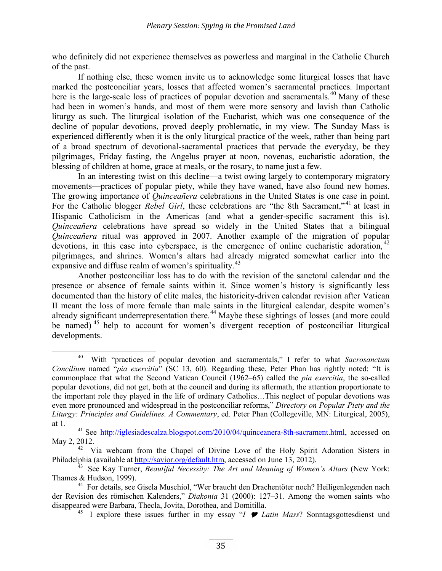who definitely did not experience themselves as powerless and marginal in the Catholic Church of the past.

If nothing else, these women invite us to acknowledge some liturgical losses that have marked the postconciliar years, losses that affected women's sacramental practices. Important here is the large-scale loss of practices of popular devotion and sacramentals.<sup>[40](#page--1-6)</sup> Many of these had been in women's hands, and most of them were more sensory and lavish than Catholic liturgy as such. The liturgical isolation of the Eucharist, which was one consequence of the decline of popular devotions, proved deeply problematic, in my view. The Sunday Mass is experienced differently when it is the only liturgical practice of the week, rather than being part of a broad spectrum of devotional-sacramental practices that pervade the everyday, be they pilgrimages, Friday fasting, the Angelus prayer at noon, novenas, eucharistic adoration, the blessing of children at home, grace at meals, or the rosary, to name just a few.

In an interesting twist on this decline—a twist owing largely to contemporary migratory movements—practices of popular piety, while they have waned, have also found new homes. The growing importance of *Quinceañera* celebrations in the United States is one case in point. For the Catholic blogger *Rebel Girl*, these celebrations are "the 8th Sacrament,"<sup>[41](#page-7-0)</sup> at least in Hispanic Catholicism in the Americas (and what a gender-specific sacrament this is). *Quinceañera* celebrations have spread so widely in the United States that a bilingual *Quinceañera* ritual was approved in 2007. Another example of the migration of popular devotions, in this case into cyberspace, is the emergence of online eucharistic adoration,  $42$ pilgrimages, and shrines. Women's altars had already migrated somewhat earlier into the expansive and diffuse realm of women's spirituality.<sup>43</sup>

Another postconciliar loss has to do with the revision of the sanctoral calendar and the presence or absence of female saints within it. Since women's history is significantly less documented than the history of elite males, the historicity-driven calendar revision after Vatican II meant the loss of more female than male saints in the liturgical calendar, despite women's already significant underrepresentation there.<sup>[44](#page-7-3)</sup> Maybe these sightings of losses (and more could be named)<sup>[45](#page-7-4)</sup> help to account for women's divergent reception of postconciliar liturgical developments.

40 With "practices of popular devotion and sacramentals," I refer to what *Sacrosanctum Concilium* named "*pia exercitia*" (SC 13, 60). Regarding these, Peter Phan has rightly noted: "It is commonplace that what the Second Vatican Council (1962–65) called the *pia exercitia*, the so-called popular devotions, did not get, both at the council and during its aftermath, the attention proportionate to the important role they played in the life of ordinary Catholics…This neglect of popular devotions was even more pronounced and widespread in the postconciliar reforms," *Directory on Popular Piety and the Liturgy: Principles and Guidelines. A Commentary*, ed. Peter Phan (Collegeville, MN: Liturgical, 2005), at 1.

<span id="page-7-0"></span><sup>&</sup>lt;sup>41</sup> See [http://iglesiadescalza.blogspot.com/2010/04/quinceanera-8th-sacrament.html,](http://iglesiadescalza.blogspot.com/2010/04/quinceanera-8th-sacrament.html) accessed on May 2, 2012.

<span id="page-7-1"></span><sup>&</sup>lt;sup>42</sup> Via webcam from the Chapel of Divine Love of the [Holy Spirit Adoration Sisters](http://www.adorationsisters.org/) in Philadelphia (available at [http://savior.org/default.htm,](http://savior.org/default.htm) accessed on June 13, 2012).

<span id="page-7-2"></span><sup>43</sup> See Kay Turner, *Beautiful Necessity: The Art and Meaning of Women's Altars* (New York: Thames & Hudson, 1999).

<span id="page-7-4"></span><span id="page-7-3"></span><sup>&</sup>lt;sup>44</sup> For details, see Gisela Muschiol, "Wer braucht den Drachentöter noch? Heiligenlegenden nach der Revision des römischen Kalenders," *Diakonia* 31 (2000): 127–31. Among the women saints who disappeared were Barbara, Thecla, Jovita, Dorothea, and Domitilla.

<sup>&</sup>lt;sup>45</sup> I explore these issues further in my essay "*I*  $\bullet$  *Latin Mass*? Sonntagsgottesdienst und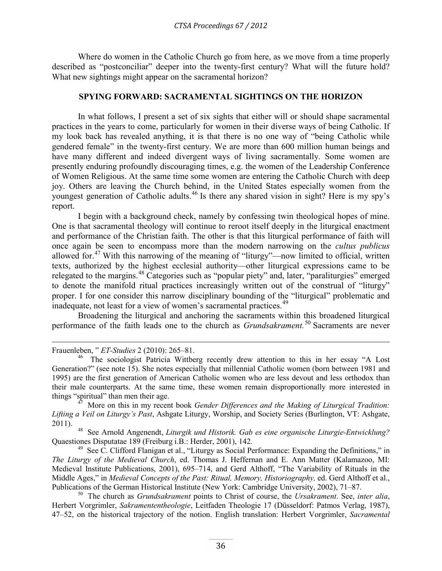Where do women in the Catholic Church go from here, as we move from a time properly described as "postconciliar" deeper into the twenty-first century? What will the future hold? What new sightings might appear on the sacramental horizon?

## **SPYING FORWARD: SACRAMENTAL SIGHTINGS ON THE HORIZON**

In what follows, I present a set of six sights that either will or should shape sacramental practices in the years to come, particularly for women in their diverse ways of being Catholic. If my look back has revealed anything, it is that there is no one way of "being Catholic while gendered female" in the twenty-first century. We are more than 600 million human beings and have many different and indeed divergent ways of living sacramentally. Some women are presently enduring profoundly discouraging times, e.g. the women of the Leadership Conference of Women Religious. At the same time some women are entering the Catholic Church with deep joy. Others are leaving the Church behind, in the United States especially women from the youngest generation of Catholic adults.<sup>[46](#page--1-6)</sup> Is there any shared vision in sight? Here is my spy's report.

I begin with a background check, namely by confessing twin theological hopes of mine. One is that sacramental theology will continue to reroot itself deeply in the liturgical enactment and performance of the Christian faith. The other is that this liturgical performance of faith will once again be seen to encompass more than the modern narrowing on the *cultus publicus*  allowed for.<sup>[47](#page-8-0)</sup> With this narrowing of the meaning of "liturgy"—now limited to official, written texts, authorized by the highest ecclesial authority—other liturgical expressions came to be relegated to the margins.[48](#page-8-1) Categories such as "popular piety" and, later, "paraliturgies" emerged to denote the manifold ritual practices increasingly written out of the construal of "liturgy" proper. I for one consider this narrow disciplinary bounding of the "liturgical" problematic and inadequate, not least for a view of women's sacramental practices.<sup>[49](#page-8-2)</sup>

Broadening the liturgical and anchoring the sacraments within this broadened liturgical performance of the faith leads one to the church as *Grundsakrament.*[50](#page-8-3) Sacraments are never

i<br>I Frauenleben, " *ET-Studies* 2 (2010): 265–81.

<span id="page-8-0"></span>47 More on this in my recent book *Gender Differences and the Making of Liturgical Tradition: Lifting a Veil on Liturgy's Past*, Ashgate Liturgy, Worship, and Society Series (Burlington, VT: Ashgate, 2011).

<span id="page-8-1"></span>48 See Arnold Angenendt, *Liturgik und Historik. Gab es eine organische Liturgie-Entwicklung?* Quaestiones Disputatae 189 (Freiburg i.B.: Herder, 2001), 142.

<span id="page-8-2"></span><sup>49</sup> See C. Clifford Flanigan et al., "Liturgy as Social Performance: Expanding the Definitions," in *The Liturgy of the Medieval Church*, ed. Thomas J. Heffernan and E. Ann Matter (Kalamazoo, MI: Medieval Institute Publications, 2001), 695–714, and Gerd Althoff, "The Variability of Rituals in the Middle Ages," in *Medieval Concepts of the Past: Ritual, Memory, Historiography,* ed. Gerd Althoff et al., Publications of the German Historical Institute (New York: Cambridge University, 2002), 71–87.

<span id="page-8-3"></span>50 The church as *Grundsakrament* points to Christ of course, the *Ursakrament*. See, *inter alia*, Herbert Vorgrimler, *Sakramententheologie*, Leitfaden Theologie 17 (Düsseldorf: Patmos Verlag, 1987), 47–52, on the historical trajectory of the notion. English translation: Herbert Vorgrimler, *Sacramental* 

<sup>&</sup>lt;sup>46</sup> The sociologist Patricia Wittberg recently drew attention to this in her essay "A Lost Generation?" (see note 15). She notes especially that millennial Catholic women (born between 1981 and 1995) are the first generation of American Catholic women who are less devout and less orthodox than their male counterparts. At the same time, these women remain disproportionally more interested in things "spiritual" than men their age.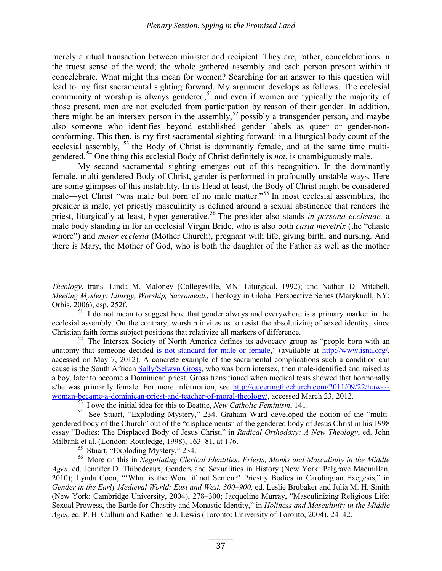merely a ritual transaction between minister and recipient. They are, rather, concelebrations in the truest sense of the word; the whole gathered assembly and each person present within it concelebrate. What might this mean for women? Searching for an answer to this question will lead to my first sacramental sighting forward. My argument develops as follows. The ecclesial community at worship is always gendered, $51$  and even if women are typically the majority of those present, men are not excluded from participation by reason of their gender. In addition, there might be an intersex person in the assembly,<sup>[52](#page-9-0)</sup> possibly a transgender person, and maybe also someone who identifies beyond established gender labels as queer or gender-nonconforming. This then, is my first sacramental sighting forward: in a liturgical body count of the ecclesial assembly, <sup>[53](#page-9-1)</sup> the Body of Christ is dominantly female, and at the same time multigendered.[54](#page-9-2) One thing this ecclesial Body of Christ definitely is *not*, is unambiguously male.

My second sacramental sighting emerges out of this recognition. In the dominantly female, multi-gendered Body of Christ, gender is performed in profoundly unstable ways. Here are some glimpses of this instability. In its Head at least, the Body of Christ might be considered male—yet Christ "was male but born of no male matter."[55](#page-9-3) In most ecclesial assemblies, the presider is male, yet priestly masculinity is defined around a sexual abstinence that renders the priest, liturgically at least, hyper-generative.<sup>[56](#page-9-4)</sup> The presider also stands *in persona ecclesiae*, a male body standing in for an ecclesial Virgin Bride, who is also both *casta meretrix* (the "chaste whore") and *mater ecclesia* (Mother Church), pregnant with life, giving birth, and nursing. And there is Mary, the Mother of God, who is both the daughter of the Father as well as the mother

<span id="page-9-0"></span> $52$  The Intersex Society of North America defines its advocacy group as "people born with an anatomy that someone decided [is not standard for male or female,](http://www.isna.org/faq/what_is_intersex)" (available at [http://www.isna.org/,](http://www.isna.org/) accessed on May 7, 2012). A concrete example of the sacramental complications such a condition can cause is the South African [Sally/Selwyn Gross,](http://queeringthechurch.com/2011/09/22/how-a-woman-became-a-dominican-priest-and-teacher-of-moral-theology/) who was born intersex, then male-identified and raised as a boy, later to become a Dominican priest. Gross transitioned when medical tests showed that hormonally s/he was primarily female. For more information, see [http://queeringthechurch.com/2011/09/22/how-a](http://queeringthechurch.com/2011/09/22/how-a-woman-became-a-dominican-priest-and-teacher-of-moral-theology/)[woman-became-a-dominican-priest-and-teacher-of-moral-theology/,](http://queeringthechurch.com/2011/09/22/how-a-woman-became-a-dominican-priest-and-teacher-of-moral-theology/) accessed March 23, 2012.

I *Theology*, trans. Linda M. Maloney (Collegeville, MN: Liturgical, 1992); and Nathan D. Mitchell, *Meeting Mystery: Liturgy, Worship, Sacraments*, Theology in Global Perspective Series (Maryknoll, NY: Orbis, 2006), esp. 252f.

 $51 \text{ I}$  do not mean to suggest here that gender always and everywhere is a primary marker in the ecclesial assembly. On the contrary, worship invites us to resist the absolutizing of sexed identity, since Christian faith forms subject positions that relativize all markers of difference.

<sup>53</sup> I owe the initial idea for this to Beattie, *New Catholic Feminism*, 141.

<span id="page-9-2"></span><span id="page-9-1"></span><sup>54</sup> See Stuart, "Exploding Mystery," 234. Graham Ward developed the notion of the "multigendered body of the Church" out of the "displacements" of the gendered body of Jesus Christ in his 1998 essay "Bodies: The Displaced Body of Jesus Christ," in *Radical Orthodoxy: A New Theology*, ed. John Milbank et al. (London: Routledge, 1998), 163–81, at 176.

<sup>&</sup>lt;sup>55</sup> Stuart, "Exploding Mystery," 234.

<span id="page-9-4"></span><span id="page-9-3"></span><sup>56</sup> More on this in *Negotiating Clerical Identities: Priests, Monks and Masculinity in the Middle Ages*, ed. Jennifer D. Thibodeaux, Genders and Sexualities in History (New York: Palgrave Macmillan, 2010); Lynda Coon, "'What is the Word if not Semen?' Priestly Bodies in Carolingian Exegesis," in *Gender in the Early Medieval World: East and West, 300–900,* ed. Leslie Brubaker and Julia M. H. Smith (New York: Cambridge University, 2004), 278–300; Jacqueline Murray, "Masculinizing Religious Life: Sexual Prowess, the Battle for Chastity and Monastic Identity," in *Holiness and Masculinity in the Middle Ages,* ed. P. H. Cullum and Katherine J. Lewis (Toronto: University of Toronto, 2004), 24–42.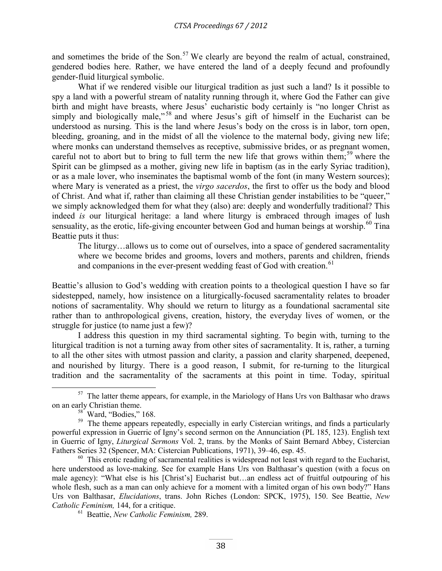and sometimes the bride of the Son.<sup>[57](#page--1-7)</sup> We clearly are beyond the realm of actual, constrained, gendered bodies here. Rather, we have entered the land of a deeply fecund and profoundly gender-fluid liturgical symbolic.

What if we rendered visible our liturgical tradition as just such a land? Is it possible to spy a land with a powerful stream of natality running through it, where God the Father can give birth and might have breasts, where Jesus' eucharistic body certainly is "no longer Christ as simply and biologically male,"<sup>[58](#page-10-0)</sup> and where Jesus's gift of himself in the Eucharist can be understood as nursing. This is the land where Jesus's body on the cross is in labor, torn open, bleeding, groaning, and in the midst of all the violence to the maternal body, giving new life; where monks can understand themselves as receptive, submissive brides, or as pregnant women, careful not to abort but to bring to full term the new life that grows within them;<sup>[59](#page-10-1)</sup> where the Spirit can be glimpsed as a mother, giving new life in baptism (as in the early Syriac tradition), or as a male lover, who inseminates the baptismal womb of the font (in many Western sources); where Mary is venerated as a priest, the *virgo sacerdos*, the first to offer us the body and blood of Christ. And what if, rather than claiming all these Christian gender instabilities to be "queer," we simply acknowledged them for what they (also) are: deeply and wonderfully traditional? This indeed *is* our liturgical heritage: a land where liturgy is embraced through images of lush sensuality, as the erotic, life-giving encounter between God and human beings at worship.<sup>[60](#page-10-2)</sup> Tina Beattie puts it thus:

The liturgy…allows us to come out of ourselves, into a space of gendered sacramentality where we become brides and grooms, lovers and mothers, parents and children, friends and companions in the ever-present wedding feast of God with creation.<sup>61</sup>

Beattie's allusion to God's wedding with creation points to a theological question I have so far sidestepped, namely, how insistence on a liturgically-focused sacramentality relates to broader notions of sacramentality. Why should we return to liturgy as a foundational sacramental site rather than to anthropological givens, creation, history, the everyday lives of women, or the struggle for justice (to name just a few)?

I address this question in my third sacramental sighting. To begin with, turning to the liturgical tradition is not a turning away from other sites of sacramentality. It is, rather, a turning to all the other sites with utmost passion and clarity, a passion and clarity sharpened, deepened, and nourished by liturgy. There is a good reason, I submit, for re-turning to the liturgical tradition and the sacramentality of the sacraments at this point in time. Today, spiritual

 $57$  The latter theme appears, for example, in the Mariology of Hans Urs von Balthasar who draws on an early Christian theme.

<sup>&</sup>lt;sup>58</sup> Ward, "Bodies," 168.

<span id="page-10-1"></span><span id="page-10-0"></span><sup>&</sup>lt;sup>59</sup> The theme appears repeatedly, especially in early Cistercian writings, and finds a particularly powerful expression in Guerric of Igny's second sermon on the Annunciation (PL 185, 123). English text in Guerric of Igny, *Liturgical Sermons* Vol. 2, trans. by the Monks of Saint Bernard Abbey, Cistercian Fathers Series 32 (Spencer, MA: Cistercian Publications, 1971), 39–46, esp. 45.

<span id="page-10-3"></span><span id="page-10-2"></span> $60$  This erotic reading of sacramental realities is widespread not least with regard to the Eucharist, here understood as love-making. See for example Hans Urs von Balthasar's question (with a focus on male agency): "What else is his [Christ's] Eucharist but…an endless act of fruitful outpouring of his whole flesh, such as a man can only achieve for a moment with a limited organ of his own body?" Hans Urs von Balthasar, *Elucidations*, trans. John Riches (London: SPCK, 1975), 150. See Beattie, *New Catholic Feminism,* 144, for a critique.

<sup>61</sup> Beattie, *New Catholic Feminism,* 289.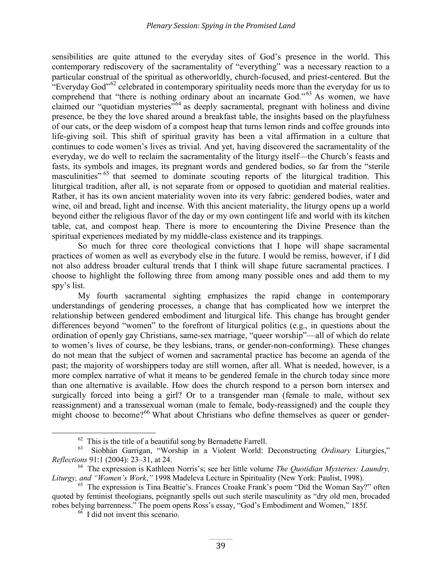sensibilities are quite attuned to the everyday sites of God's presence in the world. This contemporary rediscovery of the sacramentality of "everything" was a necessary reaction to a particular construal of the spiritual as otherworldly, church-focused, and priest-centered. But the "Everyday God"<sup>[62](#page--1-8)</sup> celebrated in contemporary spirituality needs more than the everyday for us to comprehend that "there is nothing ordinary about an incarnate God."<sup>[63](#page-11-0)</sup> As women, we have claimed our "quotidian mysteries"<sup>[64](#page-11-1)</sup> as deeply sacramental, pregnant with holiness and divine presence, be they the love shared around a breakfast table, the insights based on the playfulness of our cats, or the deep wisdom of a compost heap that turns lemon rinds and coffee grounds into life-giving soil. This shift of spiritual gravity has been a vital affirmation in a culture that continues to code women's lives as trivial. And yet, having discovered the sacramentality of the everyday, we do well to reclaim the sacramentality of the liturgy itself—the Church's feasts and fasts, its symbols and images, its pregnant words and gendered bodies, so far from the "sterile masculinities" [65](#page-11-2) that seemed to dominate scouting reports of the liturgical tradition. This liturgical tradition, after all, is not separate from or opposed to quotidian and material realities. Rather, it has its own ancient materiality woven into its very fabric: gendered bodies, water and wine, oil and bread, light and incense. With this ancient materiality, the liturgy opens up a world beyond either the religious flavor of the day or my own contingent life and world with its kitchen table, cat, and compost heap. There is more to encountering the Divine Presence than the spiritual experiences mediated by my middle-class existence and its trappings.

So much for three core theological convictions that I hope will shape sacramental practices of women as well as everybody else in the future. I would be remiss, however, if I did not also address broader cultural trends that I think will shape future sacramental practices. I choose to highlight the following three from among many possible ones and add them to my spy's list.

My fourth sacramental sighting emphasizes the rapid change in contemporary understandings of gendering processes, a change that has complicated how we interpret the relationship between gendered embodiment and liturgical life. This change has brought gender differences beyond "women" to the forefront of liturgical politics (e.g., in questions about the ordination of openly gay Christians, same-sex marriage, "queer worship"—all of which do relate to women's lives of course, be they lesbians, trans, or gender-non-conforming). These changes do not mean that the subject of women and sacramental practice has become an agenda of the past; the majority of worshippers today are still women, after all. What is needed, however, is a more complex narrative of what it means to be gendered female in the church today since more than one alternative is available. How does the church respond to a person born intersex and surgically forced into being a girl? Or to a transgender man (female to male, without sex reassignment) and a transsexual woman (male to female, body-reassigned) and the couple they might choose to become?<sup>[66](#page-11-3)</sup> What about Christians who define themselves as queer or gender-

 $^{62}$  This is the title of a beautiful song by Bernadette Farrell.<br> $^{63}$  Siobhán Garrigan "Warshin in a Violant Warld:

<span id="page-11-0"></span><sup>63</sup> Siobhán Garrigan, "Worship in a Violent World: Deconstructing *Ordinary* Liturgies," *Reflections* 91:1 (2004): 23–31, at 24.

<span id="page-11-1"></span><sup>64</sup> The expression is Kathleen Norris's; see her little volume *The Quotidian Mysteries: Laundry, Liturgy, and "Women's Work*,*"* 1998 Madeleva Lecture in Spirituality (New York: Paulist, 1998).

<span id="page-11-3"></span><span id="page-11-2"></span><sup>&</sup>lt;sup>65</sup> The expression is Tina Beattie's. Frances Croake Frank's poem "Did the Woman Say?" often quoted by feminist theologians, poignantly spells out such sterile masculinity as "dry old men, brocaded robes belying barrenness." The poem opens Ross's essay, "God's Embodiment and Women," 185f.

 $66$  I did not invent this scenario.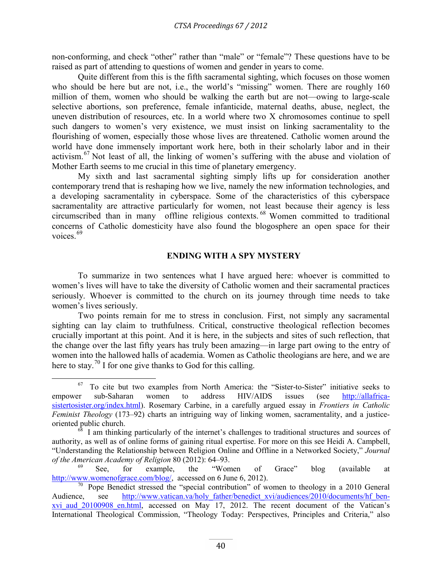non-conforming, and check "other" rather than "male" or "female"? These questions have to be raised as part of attending to questions of women and gender in years to come.

Quite different from this is the fifth sacramental sighting, which focuses on those women who should be here but are not, i.e., the world's "missing" women. There are roughly 160 million of them, women who should be walking the earth but are not—owing to large-scale selective abortions, son preference, female infanticide, maternal deaths, abuse, neglect, the uneven distribution of resources, etc. In a world where two X chromosomes continue to spell such dangers to women's very existence, we must insist on linking sacramentality to the flourishing of women, especially those whose lives are threatened. Catholic women around the world have done immensely important work here, both in their scholarly labor and in their activism.<sup>[67](#page--1-9)</sup> Not least of all, the linking of women's suffering with the abuse and violation of Mother Earth seems to me crucial in this time of planetary emergency.

My sixth and last sacramental sighting simply lifts up for consideration another contemporary trend that is reshaping how we live, namely the new information technologies, and a developing sacramentality in cyberspace. Some of the characteristics of this cyberspace sacramentality are attractive particularly for women, not least because their agency is less circumscribed than in many offline religious contexts. [68](#page-12-0) Women committed to traditional concerns of Catholic domesticity have also found the blogosphere an open space for their voices.<sup>[69](#page-12-1)</sup>

# **ENDING WITH A SPY MYSTERY**

To summarize in two sentences what I have argued here: whoever is committed to women's lives will have to take the diversity of Catholic women and their sacramental practices seriously. Whoever is committed to the church on its journey through time needs to take women's lives seriously.

Two points remain for me to stress in conclusion. First, not simply any sacramental sighting can lay claim to truthfulness. Critical, constructive theological reflection becomes crucially important at this point. And it is here, in the subjects and sites of such reflection, that the change over the last fifty years has truly been amazing—in large part owing to the entry of women into the hallowed halls of academia. Women as Catholic theologians are here, and we are here to stay.<sup>70</sup> I for one give thanks to God for this calling.

 $67$  To cite but two examples from North America: the "Sister-to-Sister" initiative seeks to empower sub-Saharan women to address HIV/AIDS issues (see [http://allafrica](http://allafrica-sistertosister.org/index.html)[sistertosister.org/index.html\)](http://allafrica-sistertosister.org/index.html). Rosemary Carbine, in a carefully argued essay in *Frontiers in Catholic Feminist Theology* (173–92) charts an intriguing way of linking women, sacramentality, and a justiceoriented public church.

<span id="page-12-0"></span>I am thinking particularly of the internet's challenges to traditional structures and sources of authority, as well as of online forms of gaining ritual expertise. For more on this see Heidi A. Campbell, "Understanding the Relationship between Religion Online and Offline in a Networked Society," *Journal of the American Academy of Religion* 80 (2012): 64–93.

<span id="page-12-1"></span><sup>&</sup>lt;sup>69</sup> See, for example, the "Women of Grace" blog (available at [http://www.womenofgrace.com/blog/,](http://www.womenofgrace.com/blog/) accessed on 6 June 6, 2012).

<span id="page-12-2"></span><sup>70</sup> Pope Benedict stressed the "special contribution" of women to theology in a 2010 General Audience, see [http://www.vatican.va/holy\\_father/benedict\\_xvi/audiences/2010/documents/hf\\_ben](http://www.vatican.va/holy_father/benedict_xvi/audiences/2010/documents/hf_ben-xvi_aud_20100908_en.html)xvi aud 20100908 en.html, accessed on May 17, 2012. The recent document of the Vatican's International Theological Commission, "Theology Today: Perspectives, Principles and Criteria," also